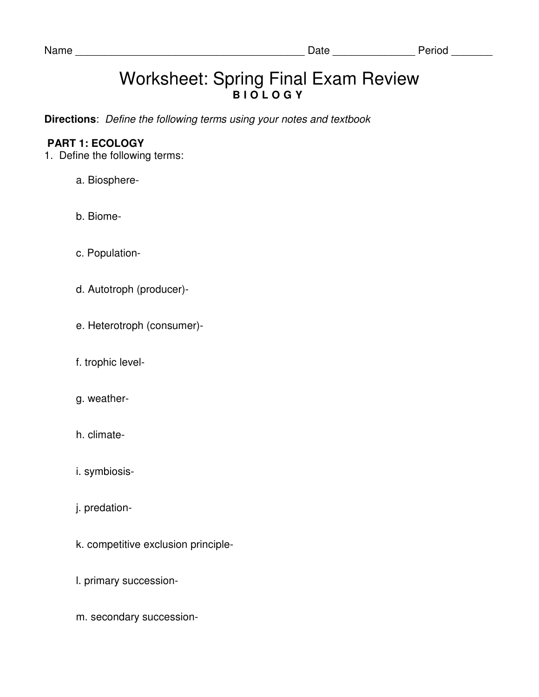## Worksheet: Spring Final Exam Review **B I O L O G Y**

**Directions**: Define the following terms using your notes and textbook

## **PART 1: ECOLOGY**

- 1. Define the following terms:
	- a. Biosphere-
	- b. Biome-
	- c. Population-
	- d. Autotroph (producer)-
	- e. Heterotroph (consumer)-
	- f. trophic level-
	- g. weather-
	- h. climate-
	- i. symbiosis-
	- j. predation-
	- k. competitive exclusion principle-
	- l. primary succession-
	- m. secondary succession-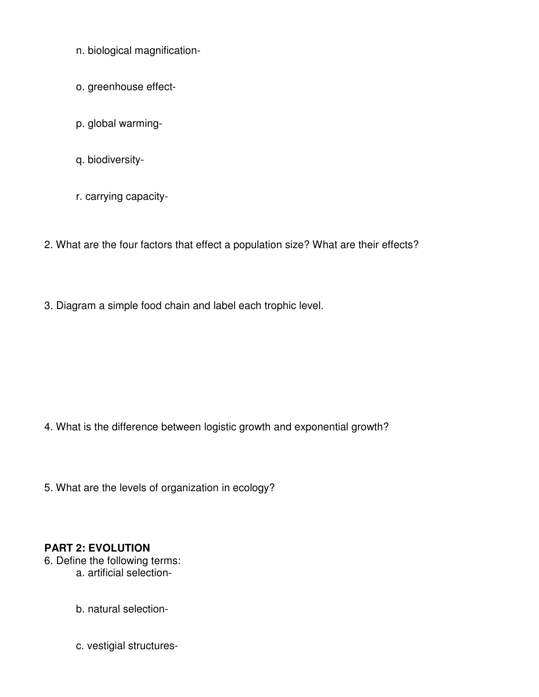- n. biological magnification-
- o. greenhouse effect-
- p. global warming-
- q. biodiversity-
- r. carrying capacity-
- 2. What are the four factors that effect a population size? What are their effects?
- 3. Diagram a simple food chain and label each trophic level.

- 4. What is the difference between logistic growth and exponential growth?
- 5. What are the levels of organization in ecology?

## **PART 2: EVOLUTION**

- 6. Define the following terms: a. artificial selection
	- b. natural selection-
	- c. vestigial structures-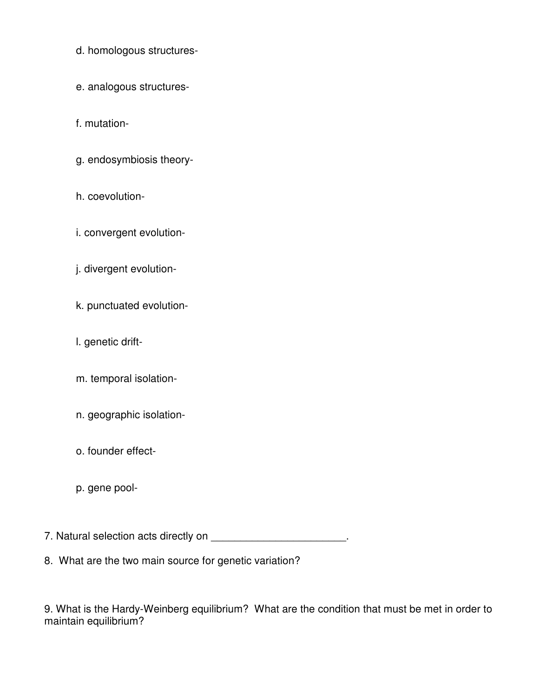- d. homologous structures-
- e. analogous structures-
- f. mutation-
- g. endosymbiosis theory-
- h. coevolution-
- i. convergent evolution-
- j. divergent evolution-
- k. punctuated evolution-
- l. genetic drift-
- m. temporal isolation-
- n. geographic isolation-
- o. founder effect-
- p. gene pool-

7. Natural selection acts directly on \_\_\_\_\_\_\_\_\_\_\_\_\_\_\_\_\_\_\_\_\_\_\_\_\_\_.

8. What are the two main source for genetic variation?

9. What is the Hardy-Weinberg equilibrium? What are the condition that must be met in order to maintain equilibrium?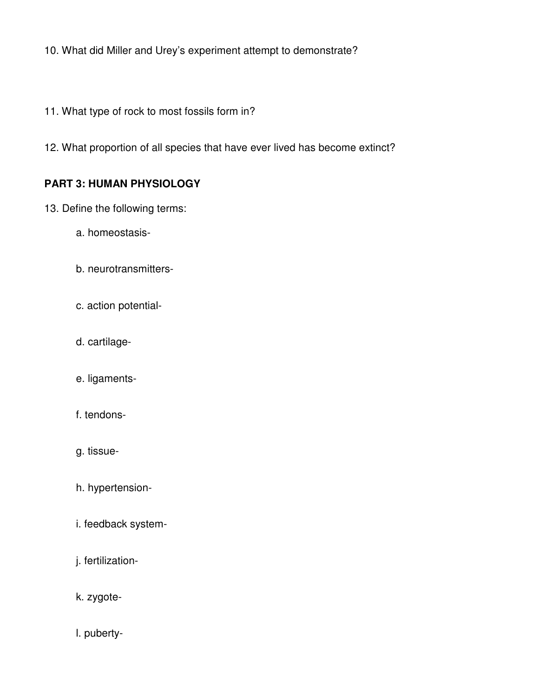10. What did Miller and Urey's experiment attempt to demonstrate?

- 11. What type of rock to most fossils form in?
- 12. What proportion of all species that have ever lived has become extinct?

## **PART 3: HUMAN PHYSIOLOGY**

- 13. Define the following terms:
	- a. homeostasis-
	- b. neurotransmitters-
	- c. action potential-
	- d. cartilage-
	- e. ligaments-
	- f. tendons-
	- g. tissue-
	- h. hypertension-
	- i. feedback system-
	- j. fertilization-
	- k. zygote-
	- l. puberty-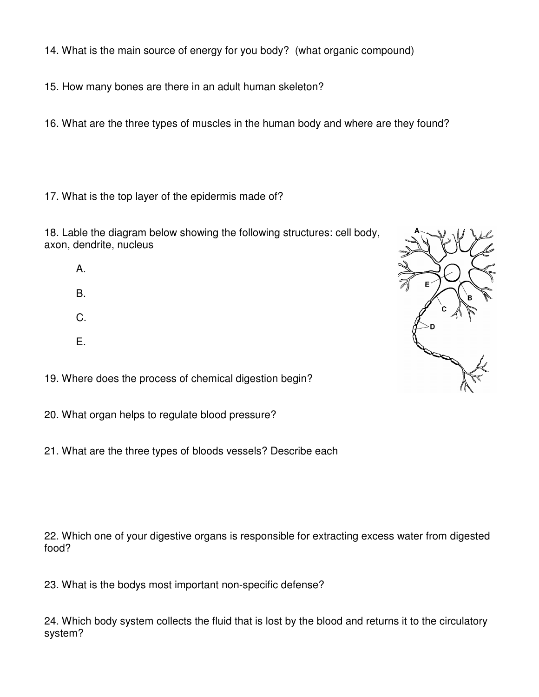14. What is the main source of energy for you body? (what organic compound)

15. How many bones are there in an adult human skeleton?

16. What are the three types of muscles in the human body and where are they found?

17. What is the top layer of the epidermis made of?

18. Lable the diagram below showing the following structures: cell body, axon, dendrite, nucleus

- A.
- B.
- C.
- 
- E.

19. Where does the process of chemical digestion begin?

20. What organ helps to regulate blood pressure?

21. What are the three types of bloods vessels? Describe each

22. Which one of your digestive organs is responsible for extracting excess water from digested food?

23. What is the bodys most important non-specific defense?

24. Which body system collects the fluid that is lost by the blood and returns it to the circulatory system?